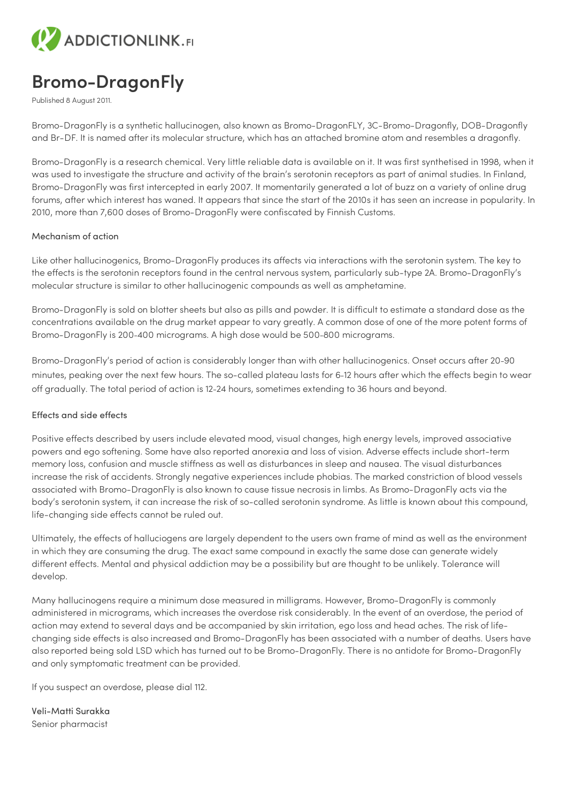

## **Bromo-DragonFly**

Published 8 August 2011.

Bromo-DragonFly is a synthetic hallucinogen, also known as Bromo-DragonFLY, 3C-Bromo-Dragonfly, DOB-Dragonfly and Br-DF. It is named after its molecular structure, which has an attached bromine atom and resembles a dragonfly.

Bromo-DragonFly is a research chemical. Very little reliable data is available on it. It was first synthetised in 1998, when it was used to investigate the structure and activity of the brain's serotonin receptors as part of animal studies. In Finland, Bromo-DragonFly was first intercepted in early 2007. It momentarily generated a lot of buzz on a variety of online drug forums, after which interest has waned. It appears that since the start of the 2010s it has seen an increase in popularity. In 2010, more than 7,600 doses of Bromo-DragonFly were confiscated by Finnish Customs.

## Mechanism of action

Like other hallucinogenics, Bromo-DragonFly produces its affects via interactions with the serotonin system. The key to the effects is the serotonin receptors found in the central nervous system, particularly sub-type 2A. Bromo-DragonFly's molecular structure is similar to other hallucinogenic compounds as well as amphetamine.

Bromo-DragonFly is sold on blotter sheets but also as pills and powder. It is difficult to estimate a standard dose as the concentrations available on the drug market appear to vary greatly. A common dose of one of the more potent forms of Bromo-DragonFly is 200–400 micrograms. A high dose would be 500–800 micrograms.

Bromo-DragonFly's period of action is considerably longer than with other hallucinogenics. Onset occurs after 20–90 minutes, peaking over the next few hours. The so-called plateau lasts for 6–12 hours after which the effects begin to wear off gradually. The total period of action is 12–24 hours, sometimes extending to 36 hours and beyond.

## Effects and side effects

Positive effects described by users include elevated mood, visual changes, high energy levels, improved associative powers and ego softening. Some have also reported anorexia and loss of vision. Adverse effects include short-term memory loss, confusion and muscle stiffness as well as disturbances in sleep and nausea. The visual disturbances increase the risk of accidents. Strongly negative experiences include phobias. The marked constriction of blood vessels associated with Bromo-DragonFly is also known to cause tissue necrosis in limbs. As Bromo-DragonFly acts via the body's serotonin system, it can increase the risk of so-called serotonin syndrome. As little is known about this compound, life-changing side effects cannot be ruled out.

Ultimately, the effects of halluciogens are largely dependent to the users own frame of mind as well as the environment in which they are consuming the drug. The exact same compound in exactly the same dose can generate widely different effects. Mental and physical addiction may be a possibility but are thought to be unlikely. Tolerance will develop.

Many hallucinogens require a minimum dose measured in milligrams. However, Bromo-DragonFly is commonly administered in micrograms, which increases the overdose risk considerably. In the event of an overdose, the period of action may extend to several days and be accompanied by skin irritation, ego loss and head aches. The risk of lifechanging side effects is also increased and Bromo-DragonFly has been associated with a number of deaths. Users have also reported being sold LSD which has turned out to be Bromo-DragonFly. There is no antidote for Bromo-DragonFly and only symptomatic treatment can be provided.

If you suspect an overdose, please dial 112.

Veli-Matti Surakka Senior pharmacist